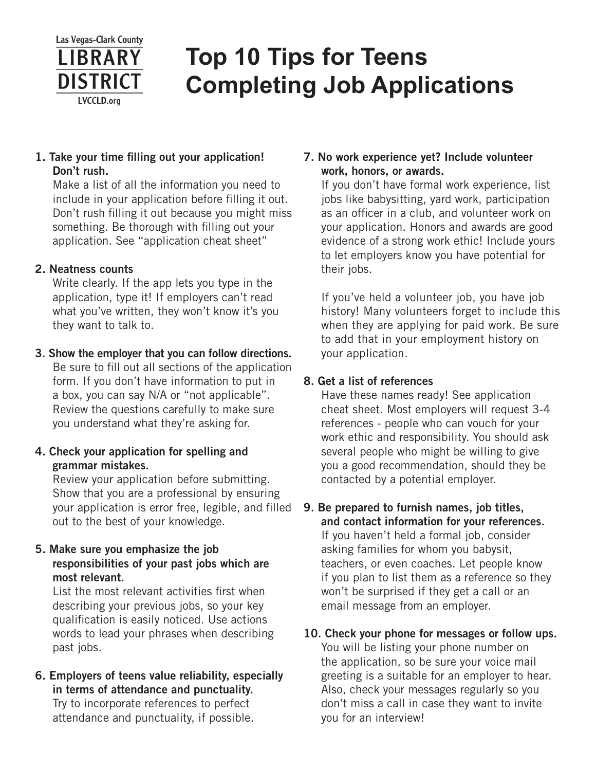

# **Top 10 Tips for Teens Completing Job Applications**

## 1. Take your time filling out your application! Don't rush.

Make a list of all the information you need to include in your application before filling it out. Don't rush filling it out because you might miss something. Be thorough with filling out your application. See "application cheat sheet"

# 2. Neatness counts

Write clearly. If the app lets you type in the application, type it! If employers can't read what you've written, they won't know it's you they want to talk to.

## 3. Show the employer that you can follow directions.

Be sure to fill out all sections of the application form. If you don't have information to put in a box, you can say N/A or "not applicable". Review the questions carefully to make sure you understand what they're asking for.

## 4. Check your application for spelling and grammar mistakes.

Review your application before submitting. Show that you are a professional by ensuring your application is error free, legible, and filled out to the best of your knowledge.

## 5. Make sure you emphasize the job responsibilities of your past jobs which are most relevant.

List the most relevant activities first when describing your previous jobs, so your key qualification is easily noticed. Use actions words to lead your phrases when describing past jobs.

6. Employers of teens value reliability, especially in terms of attendance and punctuality. Try to incorporate references to perfect attendance and punctuality, if possible.

## 7. No work experience yet? Include volunteer work, honors, or awards.

If you don't have formal work experience, list jobs like babysitting, yard work, participation as an officer in a club, and volunteer work on your application. Honors and awards are good evidence of a strong work ethic! Include yours to let employers know you have potential for their jobs.

If you've held a volunteer job, you have job history! Many volunteers forget to include this when they are applying for paid work. Be sure to add that in your employment history on your application.

# 8. Get a list of references

Have these names ready! See application cheat sheet. Most employers will request 3-4 references - people who can vouch for your work ethic and responsibility. You should ask several people who might be willing to give you a good recommendation, should they be contacted by a potential employer.

9. Be prepared to furnish names, job titles, and contact information for your references. If you haven't held a formal job, consider asking families for whom you babysit, teachers, or even coaches. Let people know if you plan to list them as a reference so they won't be surprised if they get a call or an email message from an employer.

# 10. Check your phone for messages or follow ups.

You will be listing your phone number on the application, so be sure your voice mail greeting is a suitable for an employer to hear. Also, check your messages regularly so you don't miss a call in case they want to invite you for an interview!